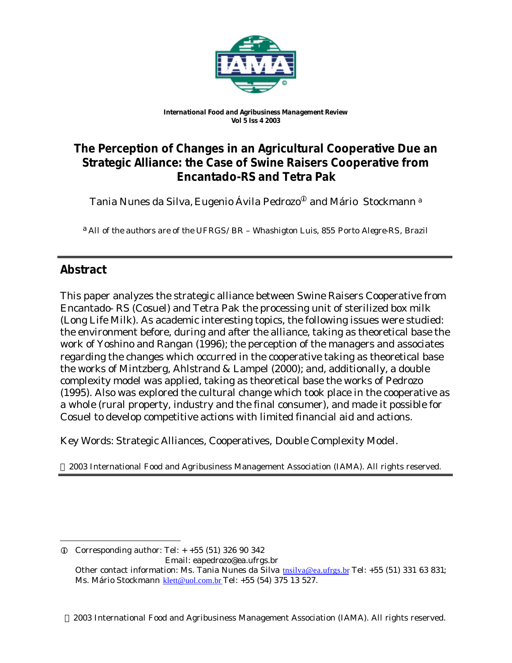

#### *International Food and Agribusiness Management Review Vol 5 Iss 4 2003*

# **The Perception of Changes in an Agricultural Cooperative Due an Strategic Alliance: the Case of Swine Raisers Cooperative from Encantado-RS and Tetra Pak**

Tania Nunes da Silva, Eugenio Ávila Pedrozo<sup>®</sup> and Mário Stockmann<sup>a</sup>

a *All of the authors are of the UFRGS/BR – Whashigton Luis, 855 Porto Alegre-RS, Brazil*

# **Abstract**

l

This paper analyzes the strategic alliance between Swine Raisers Cooperative from Encantado- RS (Cosuel) and Tetra Pak the processing unit of sterilized box milk (Long Life Milk). As academic interesting topics, the following issues were studied: the environment before, during and after the alliance, taking as theoretical base the work of Yoshino and Rangan (1996); the perception of the managers and associates regarding the changes which occurred in the cooperative taking as theoretical base the works of Mintzberg, Ahlstrand & Lampel (2000); and, additionally, a double complexity model was applied, taking as theoretical base the works of Pedrozo (1995). Also was explored the cultural change which took place in the cooperative as a whole (rural property, industry and the final consumer), and made it possible for Cosuel to develop competitive actions with limited financial aid and actions.

Key Words: Strategic Alliances, Cooperatives, Double Complexity Model.

2003 International Food and Agribusiness Management Association (IAMA). All rights reserved.

2003 International Food and Agribusiness Management Association (IAMA). All rights reserved.

 $Q$  Corresponding author: Tel:  $+ +55$  (51) 326 90 342 Email: eapedrozo@ea.ufrgs.br Other contact information: Ms. Tania Nunes da Silva the *silva@ea.ufrgs.br* Tel: +55 (51) 331 63 831; Ms. Mário Stockmann klett@uol.com.br Tel: +55 (54) 375 13 527.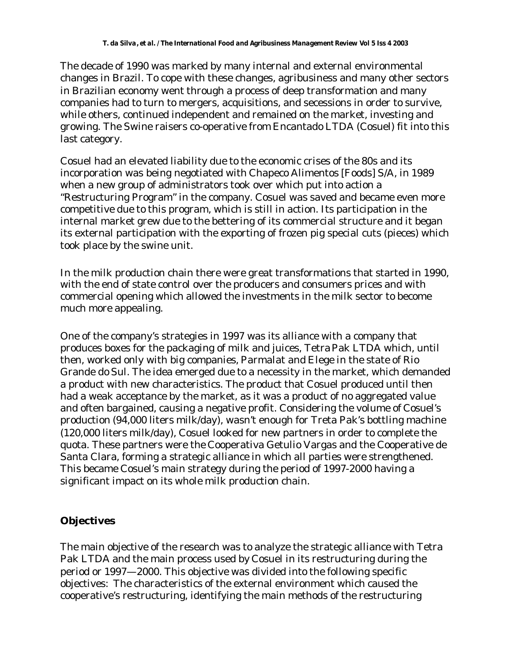The decade of 1990 was marked by many internal and external environmental changes in Brazil. To cope with these changes, agribusiness and many other sectors in Brazilian economy went through a process of deep transformation and many companies had to turn to mergers, acquisitions, and secessions in order to survive, while others, continued independent and remained on the market, investing and growing. The Swine raisers co-operative from Encantado LTDA (Cosuel) fit into this last category.

Cosuel had an elevated liability due to the economic crises of the 80s and its incorporation was being negotiated with Chapeco Alimentos [Foods] S/A, in 1989 when a new group of administrators took over which put into action a "Restructuring Program" in the company. Cosuel was saved and became even more competitive due to this program, which is still in action. Its participation in the internal market grew due to the bettering of its commercial structure and it began its external participation with the exporting of frozen pig special cuts (pieces) which took place by the swine unit.

In the milk production chain there were great transformations that started in 1990, with the end of state control over the producers and consumers prices and with commercial opening which allowed the investments in the milk sector to become much more appealing.

One of the company's strategies in 1997 was its alliance with a company that produces boxes for the packaging of milk and juices, Tetra Pak LTDA which, until then, worked only with big companies, Parmalat and Elege in the state of Rio Grande do Sul. The idea emerged due to a necessity in the market, which demanded a product with new characteristics. The product that Cosuel produced until then had a weak acceptance by the market, as it was a product of no aggregated value and often bargained, causing a negative profit. Considering the volume of Cosuel's production (94,000 liters milk/day), wasn't enough for Treta Pak's bottling machine (120,000 liters milk/day), Cosuel looked for new partners in order to complete the quota. These partners were the Cooperativa Getulio Vargas and the Cooperative de Santa Clara, forming a strategic alliance in which all parties were strengthened. This became Cosuel's main strategy during the period of 1997-2000 having a significant impact on its whole milk production chain.

## **Objectives**

The main objective of the research was to analyze the strategic alliance with Tetra Pak LTDA and the main process used by Cosuel in its restructuring during the period or 1997—2000. This objective was divided into the following specific objectives: The characteristics of the external environment which caused the cooperative's restructuring, identifying the main methods of the restructuring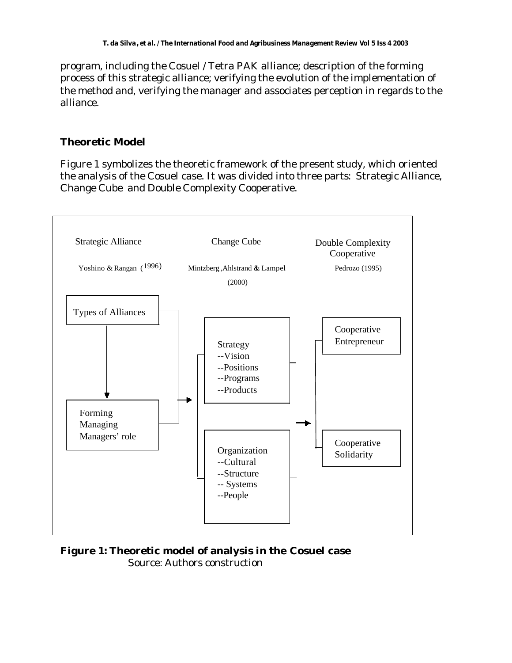program, including the Cosuel / Tetra PAK alliance; description of the forming process of this strategic alliance; verifying the evolution of the implementation of the method and, verifying the manager and associates perception in regards to the alliance.

# **Theoretic Model**

Figure 1 symbolizes the theoretic framework of the present study, which oriented the analysis of the Cosuel case. It was divided into three parts: Strategic Alliance, Change Cube and Double Complexity Cooperative.



**Figure 1: Theoretic model of analysis in the Cosuel case** Source: Authors construction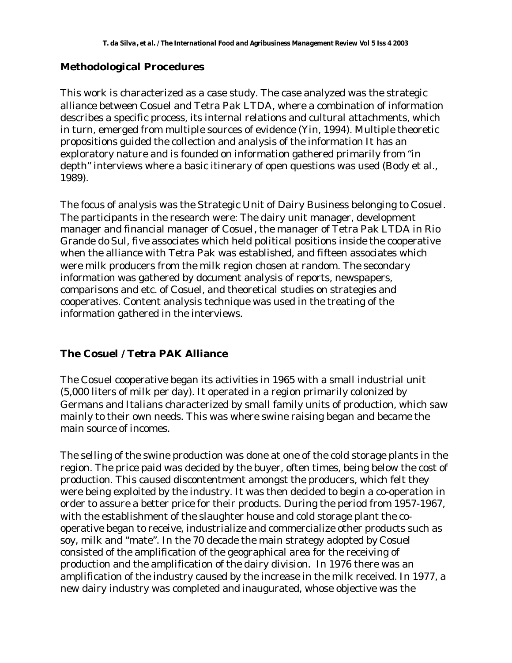### **Methodological Procedures**

This work is characterized as a case study. The case analyzed was the strategic alliance between Cosuel and Tetra Pak LTDA, where a combination of information describes a specific process, its internal relations and cultural attachments, which in turn, emerged from multiple sources of evidence (Yin, 1994). Multiple theoretic propositions guided the collection and analysis of the information It has an exploratory nature and is founded on information gathered primarily from "in depth" interviews where a basic itinerary of open questions was used (Body et al., 1989).

The focus of analysis was the Strategic Unit of Dairy Business belonging to Cosuel. The participants in the research were: The dairy unit manager, development manager and financial manager of Cosuel, the manager of Tetra Pak LTDA in Rio Grande do Sul, five associates which held political positions inside the cooperative when the alliance with Tetra Pak was established, and fifteen associates which were milk producers from the milk region chosen at random. The secondary information was gathered by document analysis of reports, newspapers, comparisons and etc. of Cosuel, and theoretical studies on strategies and cooperatives. Content analysis technique was used in the treating of the information gathered in the interviews.

#### **The Cosuel / Tetra PAK Alliance**

The Cosuel cooperative began its activities in 1965 with a small industrial unit (5,000 liters of milk per day). It operated in a region primarily colonized by Germans and Italians characterized by small family units of production, which saw mainly to their own needs. This was where swine raising began and became the main source of incomes.

The selling of the swine production was done at one of the cold storage plants in the region. The price paid was decided by the buyer, often times, being below the cost of production. This caused discontentment amongst the producers, which felt they were being exploited by the industry. It was then decided to begin a co-operation in order to assure a better price for their products. During the period from 1957-1967, with the establishment of the slaughter house and cold storage plant the cooperative began to receive, industrialize and commercialize other products such as soy, milk and "mate". In the 70 decade the main strategy adopted by Cosuel consisted of the amplification of the geographical area for the receiving of production and the amplification of the dairy division. In 1976 there was an amplification of the industry caused by the increase in the milk received. In 1977, a new dairy industry was completed and inaugurated, whose objective was the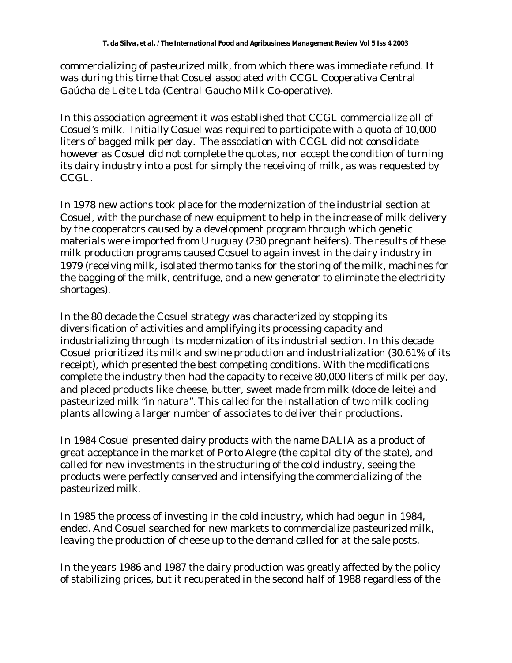commercializing of pasteurized milk, from which there was immediate refund. It was during this time that Cosuel associated with CCGL Cooperativa Central Gaúcha de Leite Ltda (Central Gaucho Milk Co-operative).

In this association agreement it was established that CCGL commercialize all of Cosuel's milk. Initially Cosuel was required to participate with a quota of 10,000 liters of bagged milk per day. The association with CCGL did not consolidate however as Cosuel did not complete the quotas, nor accept the condition of turning its dairy industry into a post for simply the receiving of milk, as was requested by CCGL.

In 1978 new actions took place for the modernization of the industrial section at Cosuel, with the purchase of new equipment to help in the increase of milk delivery by the cooperators caused by a development program through which genetic materials were imported from Uruguay (230 pregnant heifers). The results of these milk production programs caused Cosuel to again invest in the dairy industry in 1979 (receiving milk, isolated thermo tanks for the storing of the milk, machines for the bagging of the milk, centrifuge, and a new generator to eliminate the electricity shortages).

In the 80 decade the Cosuel strategy was characterized by stopping its diversification of activities and amplifying its processing capacity and industrializing through its modernization of its industrial section. In this decade Cosuel prioritized its milk and swine production and industrialization (30.61% of its receipt), which presented the best competing conditions. With the modifications complete the industry then had the capacity to receive 80,000 liters of milk per day, and placed products like cheese, butter, sweet made from milk (doce de leite) and pasteurized milk "in natura". This called for the installation of two milk cooling plants allowing a larger number of associates to deliver their productions.

In 1984 Cosuel presented dairy products with the name DALIA as a product of great acceptance in the market of Porto Alegre (the capital city of the state), and called for new investments in the structuring of the cold industry, seeing the products were perfectly conserved and intensifying the commercializing of the pasteurized milk.

In 1985 the process of investing in the cold industry, which had begun in 1984, ended. And Cosuel searched for new markets to commercialize pasteurized milk, leaving the production of cheese up to the demand called for at the sale posts.

In the years 1986 and 1987 the dairy production was greatly affected by the policy of stabilizing prices, but it recuperated in the second half of 1988 regardless of the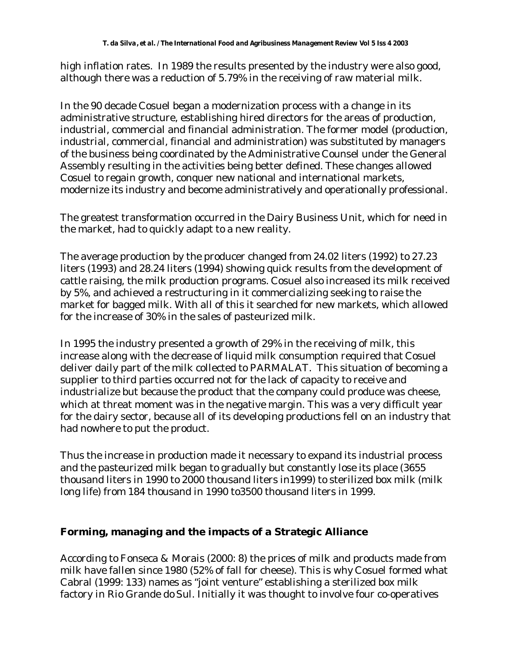high inflation rates. In 1989 the results presented by the industry were also good, although there was a reduction of 5.79% in the receiving of raw material milk.

In the 90 decade Cosuel began a modernization process with a change in its administrative structure, establishing hired directors for the areas of production, industrial, commercial and financial administration. The former model (production, industrial, commercial, financial and administration) was substituted by managers of the business being coordinated by the Administrative Counsel under the General Assembly resulting in the activities being better defined. These changes allowed Cosuel to regain growth, conquer new national and international markets, modernize its industry and become administratively and operationally professional.

The greatest transformation occurred in the Dairy Business Unit, which for need in the market, had to quickly adapt to a new reality.

The average production by the producer changed from 24.02 liters (1992) to 27.23 liters (1993) and 28.24 liters (1994) showing quick results from the development of cattle raising, the milk production programs. Cosuel also increased its milk received by 5%, and achieved a restructuring in it commercializing seeking to raise the market for bagged milk. With all of this it searched for new markets, which allowed for the increase of 30% in the sales of pasteurized milk.

In 1995 the industry presented a growth of 29% in the receiving of milk, this increase along with the decrease of liquid milk consumption required that Cosuel deliver daily part of the milk collected to PARMALAT. This situation of becoming a supplier to third parties occurred not for the lack of capacity to receive and industrialize but because the product that the company could produce was cheese, which at threat moment was in the negative margin. This was a very difficult year for the dairy sector, because all of its developing productions fell on an industry that had nowhere to put the product.

Thus the increase in production made it necessary to expand its industrial process and the pasteurized milk began to gradually but constantly lose its place (3655 thousand liters in 1990 to 2000 thousand liters in1999) to sterilized box milk (milk long life) from 184 thousand in 1990 to3500 thousand liters in 1999.

## **Forming, managing and the impacts of a Strategic Alliance**

According to Fonseca & Morais (2000: 8) the prices of milk and products made from milk have fallen since 1980 (52% of fall for cheese). This is why Cosuel formed what Cabral (1999: 133) names as "joint venture" establishing a sterilized box milk factory in Rio Grande do Sul. Initially it was thought to involve four co-operatives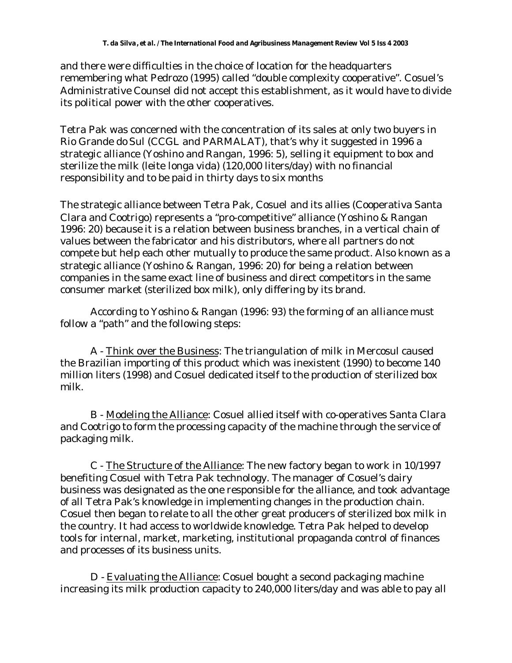and there were difficulties in the choice of location for the headquarters remembering what Pedrozo (1995) called "double complexity cooperative". Cosuel's Administrative Counsel did not accept this establishment, as it would have to divide its political power with the other cooperatives.

Tetra Pak was concerned with the concentration of its sales at only two buyers in Rio Grande do Sul (CCGL and PARMALAT), that's why it suggested in 1996 a strategic alliance (Yoshino and Rangan, 1996: 5), selling it equipment to box and sterilize the milk (leite longa vida) (120,000 liters/day) with no financial responsibility and to be paid in thirty days to six months

The strategic alliance between Tetra Pak, Cosuel and its allies (Cooperativa Santa Clara and Cootrigo) represents a "pro-competitive" alliance (Yoshino & Rangan 1996: 20) because it is a relation between business branches, in a vertical chain of values between the fabricator and his distributors, where all partners do not compete but help each other mutually to produce the same product. Also known as a strategic alliance (Yoshino & Rangan, 1996: 20) for being a relation between companies in the same exact line of business and direct competitors in the same consumer market (sterilized box milk), only differing by its brand.

According to Yoshino & Rangan (1996: 93) the forming of an alliance must follow a "path" and the following steps:

A - Think over the Business: The triangulation of milk in Mercosul caused the Brazilian importing of this product which was inexistent (1990) to become 140 million liters (1998) and Cosuel dedicated itself to the production of sterilized box milk.

B - Modeling the Alliance: Cosuel allied itself with co-operatives Santa Clara and Cootrigo to form the processing capacity of the machine through the service of packaging milk.

C - The Structure of the Alliance: The new factory began to work in 10/1997 benefiting Cosuel with Tetra Pak technology. The manager of Cosuel's dairy business was designated as the one responsible for the alliance, and took advantage of all Tetra Pak's knowledge in implementing changes in the production chain. Cosuel then began to relate to all the other great producers of sterilized box milk in the country. It had access to worldwide knowledge. Tetra Pak helped to develop tools for internal, market, marketing, institutional propaganda control of finances and processes of its business units.

D - Evaluating the Alliance: Cosuel bought a second packaging machine increasing its milk production capacity to 240,000 liters/day and was able to pay all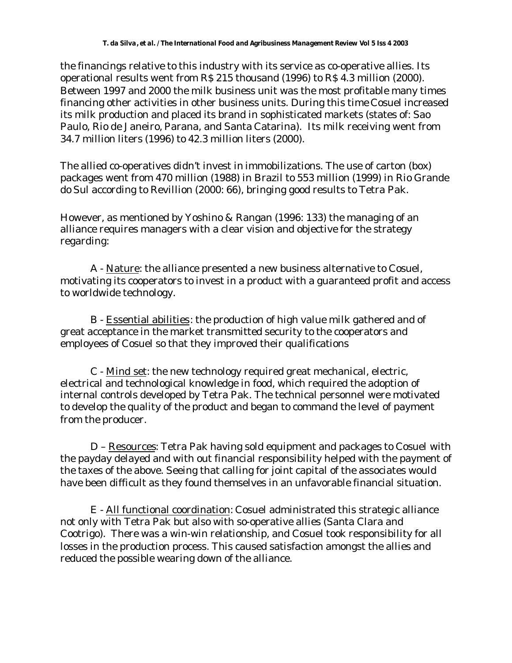the financings relative to this industry with its service as co-operative allies. Its operational results went from R\$ 215 thousand (1996) to R\$ 4.3 million (2000). Between 1997 and 2000 the milk business unit was the most profitable many times financing other activities in other business units. During this time Cosuel increased its milk production and placed its brand in sophisticated markets (states of: Sao Paulo, Rio de Janeiro, Parana, and Santa Catarina). Its milk receiving went from 34.7 million liters (1996) to 42.3 million liters (2000).

The allied co-operatives didn't invest in immobilizations. The use of carton (box) packages went from 470 million (1988) in Brazil to 553 million (1999) in Rio Grande do Sul according to Revillion (2000: 66), bringing good results to Tetra Pak.

However, as mentioned by Yoshino & Rangan (1996: 133) the managing of an alliance requires managers with a clear vision and objective for the strategy regarding:

A - Nature: the alliance presented a new business alternative to Cosuel, motivating its cooperators to invest in a product with a guaranteed profit and access to worldwide technology.

B - Essential abilities: the production of high value milk gathered and of great acceptance in the market transmitted security to the cooperators and employees of Cosuel so that they improved their qualifications

C - Mind set: the new technology required great mechanical, electric, electrical and technological knowledge in food, which required the adoption of internal controls developed by Tetra Pak. The technical personnel were motivated to develop the quality of the product and began to command the level of payment from the producer.

D – Resources: Tetra Pak having sold equipment and packages to Cosuel with the payday delayed and with out financial responsibility helped with the payment of the taxes of the above. Seeing that calling for joint capital of the associates would have been difficult as they found themselves in an unfavorable financial situation.

E - All functional coordination: Cosuel administrated this strategic alliance not only with Tetra Pak but also with so-operative allies (Santa Clara and Cootrigo). There was a win-win relationship, and Cosuel took responsibility for all losses in the production process. This caused satisfaction amongst the allies and reduced the possible wearing down of the alliance.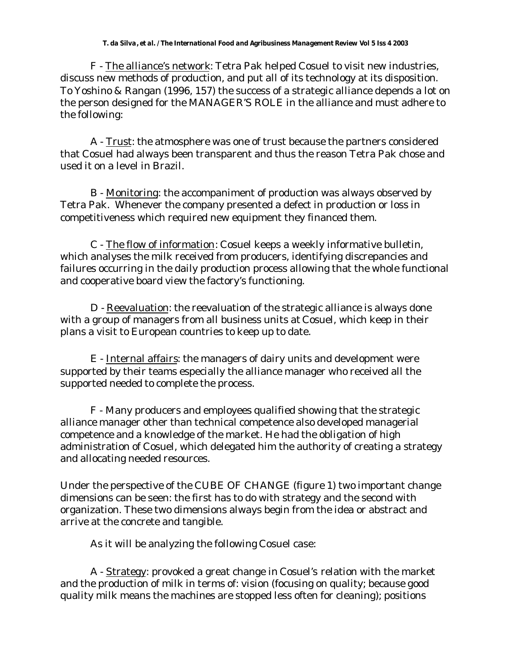F - The alliance's network: Tetra Pak helped Cosuel to visit new industries, discuss new methods of production, and put all of its technology at its disposition. To Yoshino & Rangan (1996, 157) the success of a strategic alliance depends a lot on the person designed for the MANAGER'S ROLE in the alliance and must adhere to the following:

A - Trust: the atmosphere was one of trust because the partners considered that Cosuel had always been transparent and thus the reason Tetra Pak chose and used it on a level in Brazil.

B - Monitoring: the accompaniment of production was always observed by Tetra Pak. Whenever the company presented a defect in production or loss in competitiveness which required new equipment they financed them.

C - The flow of information: Cosuel keeps a weekly informative bulletin, which analyses the milk received from producers, identifying discrepancies and failures occurring in the daily production process allowing that the whole functional and cooperative board view the factory's functioning.

D - Reevaluation: the reevaluation of the strategic alliance is always done with a group of managers from all business units at Cosuel, which keep in their plans a visit to European countries to keep up to date.

E - Internal affairs: the managers of dairy units and development were supported by their teams especially the alliance manager who received all the supported needed to complete the process.

F - Many producers and employees qualified showing that the strategic alliance manager other than technical competence also developed managerial competence and a knowledge of the market. He had the obligation of high administration of Cosuel, which delegated him the authority of creating a strategy and allocating needed resources.

Under the perspective of the CUBE OF CHANGE (figure 1) two important change dimensions can be seen: the first has to do with strategy and the second with organization. These two dimensions always begin from the idea or abstract and arrive at the concrete and tangible.

As it will be analyzing the following Cosuel case:

A - Strategy: provoked a great change in Cosuel's relation with the market and the production of milk in terms of: vision (focusing on quality; because good quality milk means the machines are stopped less often for cleaning); positions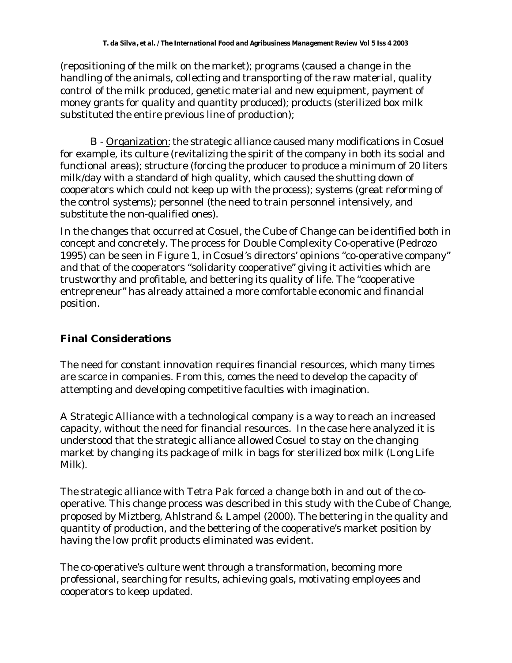(repositioning of the milk on the market); programs (caused a change in the handling of the animals, collecting and transporting of the raw material, quality control of the milk produced, genetic material and new equipment, payment of money grants for quality and quantity produced); products (sterilized box milk substituted the entire previous line of production);

B - Organization: the strategic alliance caused many modifications in Cosuel for example, its culture (revitalizing the spirit of the company in both its social and functional areas); structure (forcing the producer to produce a minimum of 20 liters milk/day with a standard of high quality, which caused the shutting down of cooperators which could not keep up with the process); systems (great reforming of the control systems); personnel (the need to train personnel intensively, and substitute the non-qualified ones).

In the changes that occurred at Cosuel, the Cube of Change can be identified both in concept and concretely. The process for Double Complexity Co-operative (Pedrozo 1995) can be seen in Figure 1, in Cosuel's directors' opinions "co-operative company" and that of the cooperators "solidarity cooperative" giving it activities which are trustworthy and profitable, and bettering its quality of life. The "cooperative entrepreneur" has already attained a more comfortable economic and financial position.

# **Final Considerations**

The need for constant innovation requires financial resources, which many times are scarce in companies. From this, comes the need to develop the capacity of attempting and developing competitive faculties with imagination.

A Strategic Alliance with a technological company is a way to reach an increased capacity, without the need for financial resources. In the case here analyzed it is understood that the strategic alliance allowed Cosuel to stay on the changing market by changing its package of milk in bags for sterilized box milk (Long Life Milk).

The strategic alliance with Tetra Pak forced a change both in and out of the cooperative. This change process was described in this study with the Cube of Change, proposed by Miztberg, Ahlstrand & Lampel (2000). The bettering in the quality and quantity of production, and the bettering of the cooperative's market position by having the low profit products eliminated was evident.

The co-operative's culture went through a transformation, becoming more professional, searching for results, achieving goals, motivating employees and cooperators to keep updated.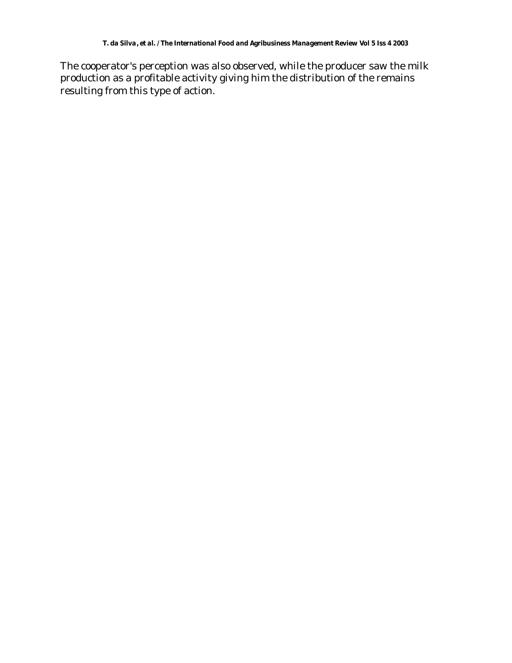The cooperator's perception was also observed, while the producer saw the milk production as a profitable activity giving him the distribution of the remains resulting from this type of action.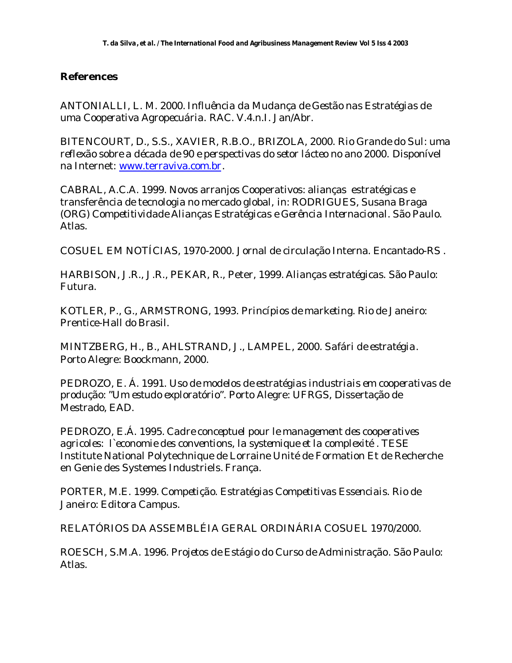### **References**

ANTONIALLI, L. M. 2000. *Influência da Mudança de Gestão nas Estratégias de uma Cooperativa Agropecuária.* RAC. V.4.n.I. Jan/Abr.

BITENCOURT, D., S.S., XAVIER, R.B.O., BRIZOLA, 2000. *Rio Grande do Sul: uma reflexão sobre a década de 90 e perspectivas do setor lácteo no ano 2000.* Disponível na Internet: www.terraviva.com.br.

CABRAL, A.C.A. 1999. Novos arranjos Cooperativos: alianças estratégicas e transferência de tecnologia no mercado global, in: RODRIGUES, Susana Braga (ORG) *Competitividade Alianças Estratégicas e Gerência Internacional*. São Paulo. Atlas.

COSUEL EM NOTÍCIAS, 1970-2000. Jornal de circulação Interna. Encantado-RS .

HARBISON, J.R., J.R., PEKAR, R., Peter, 1999. *Alianças estratégicas*. São Paulo: Futura.

KOTLER, P., G., ARMSTRONG, 1993. *Princípios de marketing*. Rio de Janeiro: Prentice-Hall do Brasil.

MINTZBERG, H., B., AHLSTRAND, J., LAMPEL, 2000. *Safári de estratégia*. Porto Alegre: Boockmann, 2000.

PEDROZO, E. Á. 1991. *Uso de modelos de estratégias industriais em cooperativas de produção: "Um estudo exploratório*". Porto Alegre: UFRGS, Dissertação de Mestrado, EAD.

PEDROZO, E.Á. 1995. *Cadre conceptuel pour le management des cooperatives agricoles: l`economie des conventions, la systemique et la complexité* . TESE Institute National Polytechnique de Lorraine Unité de Formation Et de Recherche en Genie des Systemes Industriels. França.

PORTER, M.E. 1999. *Competição. Estratégias Competitivas Essenciais*. Rio de Janeiro: Editora Campus.

RELATÓRIOS DA ASSEMBLÉIA GERAL ORDINÁRIA COSUEL 1970/2000.

ROESCH, S.M.A. 1996. *Projetos de Estágio do Curso de Administração*. São Paulo: Atlas.